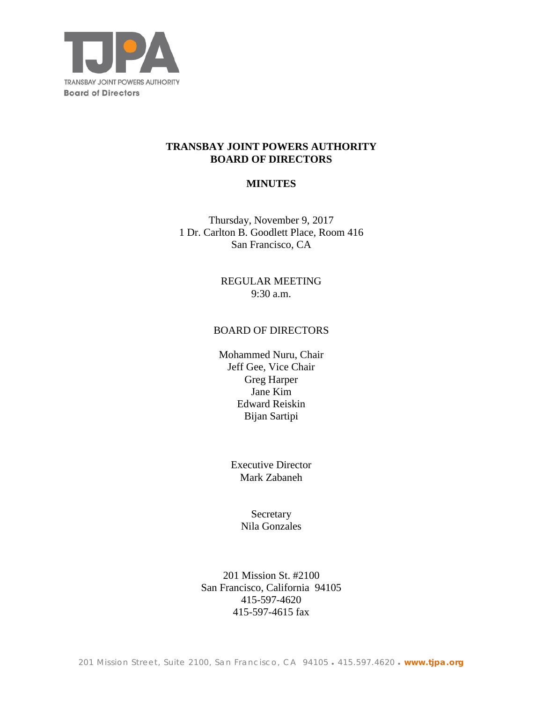

# **TRANSBAY JOINT POWERS AUTHORITY BOARD OF DIRECTORS**

# **MINUTES**

Thursday, November 9, 2017 1 Dr. Carlton B. Goodlett Place, Room 416 San Francisco, CA

> REGULAR MEETING 9:30 a.m.

## BOARD OF DIRECTORS

Mohammed Nuru, Chair Jeff Gee, Vice Chair Greg Harper Jane Kim Edward Reiskin Bijan Sartipi

> Executive Director Mark Zabaneh

> > Secretary Nila Gonzales

201 Mission St. #2100 San Francisco, California 94105 415-597-4620 415-597-4615 fax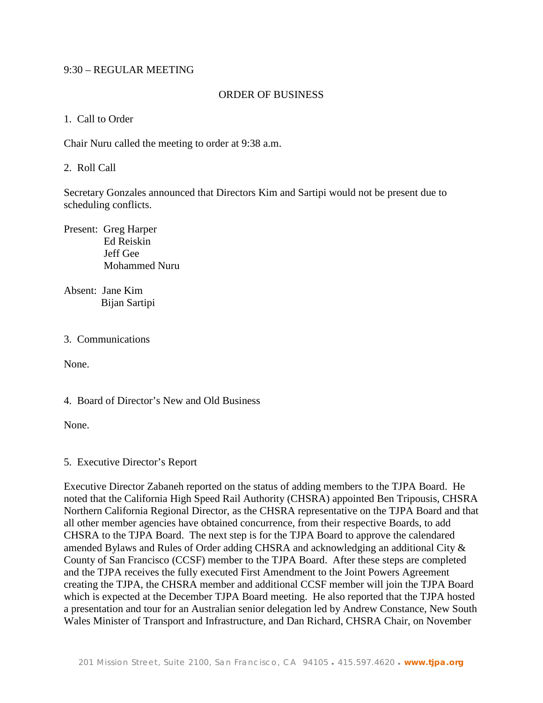## 9:30 – REGULAR MEETING

## ORDER OF BUSINESS

1. Call to Order

Chair Nuru called the meeting to order at 9:38 a.m.

2. Roll Call

Secretary Gonzales announced that Directors Kim and Sartipi would not be present due to scheduling conflicts.

Present: Greg Harper Ed Reiskin Jeff Gee Mohammed Nuru

Absent: Jane Kim Bijan Sartipi

## 3. Communications

None.

4. Board of Director's New and Old Business

None.

5. Executive Director's Report

Executive Director Zabaneh reported on the status of adding members to the TJPA Board. He noted that the California High Speed Rail Authority (CHSRA) appointed Ben Tripousis, CHSRA Northern California Regional Director, as the CHSRA representative on the TJPA Board and that all other member agencies have obtained concurrence, from their respective Boards, to add CHSRA to the TJPA Board. The next step is for the TJPA Board to approve the calendared amended Bylaws and Rules of Order adding CHSRA and acknowledging an additional City & County of San Francisco (CCSF) member to the TJPA Board. After these steps are completed and the TJPA receives the fully executed First Amendment to the Joint Powers Agreement creating the TJPA, the CHSRA member and additional CCSF member will join the TJPA Board which is expected at the December TJPA Board meeting. He also reported that the TJPA hosted a presentation and tour for an Australian senior delegation led by Andrew Constance, New South Wales Minister of Transport and Infrastructure, and Dan Richard, CHSRA Chair, on November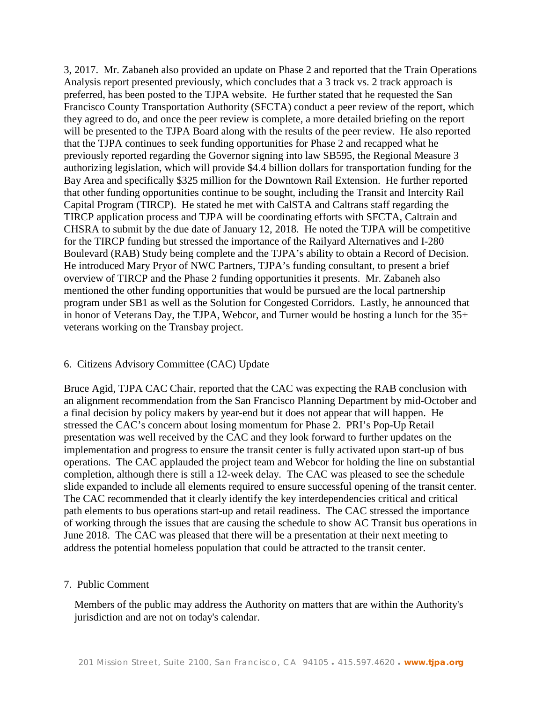3, 2017. Mr. Zabaneh also provided an update on Phase 2 and reported that the Train Operations Analysis report presented previously, which concludes that a 3 track vs. 2 track approach is preferred, has been posted to the TJPA website. He further stated that he requested the San Francisco County Transportation Authority (SFCTA) conduct a peer review of the report, which they agreed to do, and once the peer review is complete, a more detailed briefing on the report will be presented to the TJPA Board along with the results of the peer review. He also reported that the TJPA continues to seek funding opportunities for Phase 2 and recapped what he previously reported regarding the Governor signing into law SB595, the Regional Measure 3 authorizing legislation, which will provide \$4.4 billion dollars for transportation funding for the Bay Area and specifically \$325 million for the Downtown Rail Extension. He further reported that other funding opportunities continue to be sought, including the Transit and Intercity Rail Capital Program (TIRCP). He stated he met with CalSTA and Caltrans staff regarding the TIRCP application process and TJPA will be coordinating efforts with SFCTA, Caltrain and CHSRA to submit by the due date of January 12, 2018. He noted the TJPA will be competitive for the TIRCP funding but stressed the importance of the Railyard Alternatives and I-280 Boulevard (RAB) Study being complete and the TJPA's ability to obtain a Record of Decision. He introduced Mary Pryor of NWC Partners, TJPA's funding consultant, to present a brief overview of TIRCP and the Phase 2 funding opportunities it presents. Mr. Zabaneh also mentioned the other funding opportunities that would be pursued are the local partnership program under SB1 as well as the Solution for Congested Corridors. Lastly, he announced that in honor of Veterans Day, the TJPA, Webcor, and Turner would be hosting a lunch for the 35+ veterans working on the Transbay project.

#### 6. Citizens Advisory Committee (CAC) Update

Bruce Agid, TJPA CAC Chair, reported that the CAC was expecting the RAB conclusion with an alignment recommendation from the San Francisco Planning Department by mid-October and a final decision by policy makers by year-end but it does not appear that will happen. He stressed the CAC's concern about losing momentum for Phase 2. PRI's Pop-Up Retail presentation was well received by the CAC and they look forward to further updates on the implementation and progress to ensure the transit center is fully activated upon start-up of bus operations. The CAC applauded the project team and Webcor for holding the line on substantial completion, although there is still a 12-week delay. The CAC was pleased to see the schedule slide expanded to include all elements required to ensure successful opening of the transit center. The CAC recommended that it clearly identify the key interdependencies critical and critical path elements to bus operations start-up and retail readiness. The CAC stressed the importance of working through the issues that are causing the schedule to show AC Transit bus operations in June 2018. The CAC was pleased that there will be a presentation at their next meeting to address the potential homeless population that could be attracted to the transit center.

#### 7. Public Comment

 Members of the public may address the Authority on matters that are within the Authority's jurisdiction and are not on today's calendar.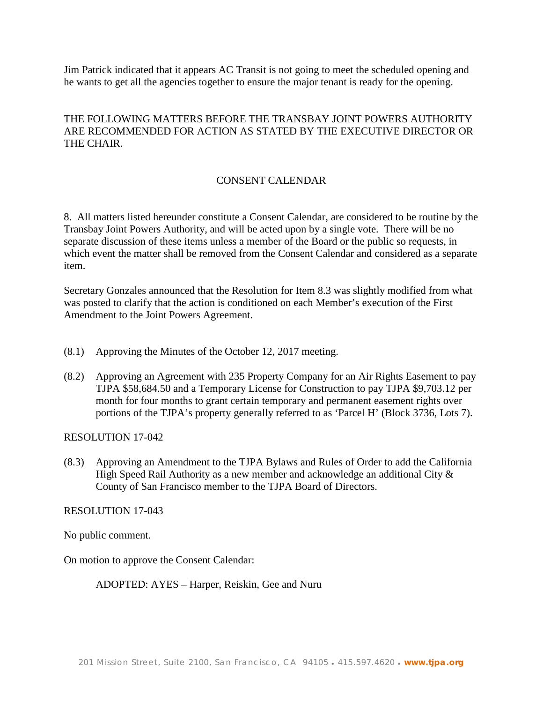Jim Patrick indicated that it appears AC Transit is not going to meet the scheduled opening and he wants to get all the agencies together to ensure the major tenant is ready for the opening.

# THE FOLLOWING MATTERS BEFORE THE TRANSBAY JOINT POWERS AUTHORITY ARE RECOMMENDED FOR ACTION AS STATED BY THE EXECUTIVE DIRECTOR OR THE CHAIR.

# CONSENT CALENDAR

8. All matters listed hereunder constitute a Consent Calendar, are considered to be routine by the Transbay Joint Powers Authority, and will be acted upon by a single vote. There will be no separate discussion of these items unless a member of the Board or the public so requests, in which event the matter shall be removed from the Consent Calendar and considered as a separate item.

Secretary Gonzales announced that the Resolution for Item 8.3 was slightly modified from what was posted to clarify that the action is conditioned on each Member's execution of the First Amendment to the Joint Powers Agreement.

- (8.1) Approving the Minutes of the October 12, 2017 meeting.
- (8.2) Approving an Agreement with 235 Property Company for an Air Rights Easement to pay TJPA \$58,684.50 and a Temporary License for Construction to pay TJPA \$9,703.12 per month for four months to grant certain temporary and permanent easement rights over portions of the TJPA's property generally referred to as 'Parcel H' (Block 3736, Lots 7).

RESOLUTION 17-042

(8.3) Approving an Amendment to the TJPA Bylaws and Rules of Order to add the California High Speed Rail Authority as a new member and acknowledge an additional City  $\&$ County of San Francisco member to the TJPA Board of Directors.

RESOLUTION 17-043

No public comment.

On motion to approve the Consent Calendar:

ADOPTED: AYES – Harper, Reiskin, Gee and Nuru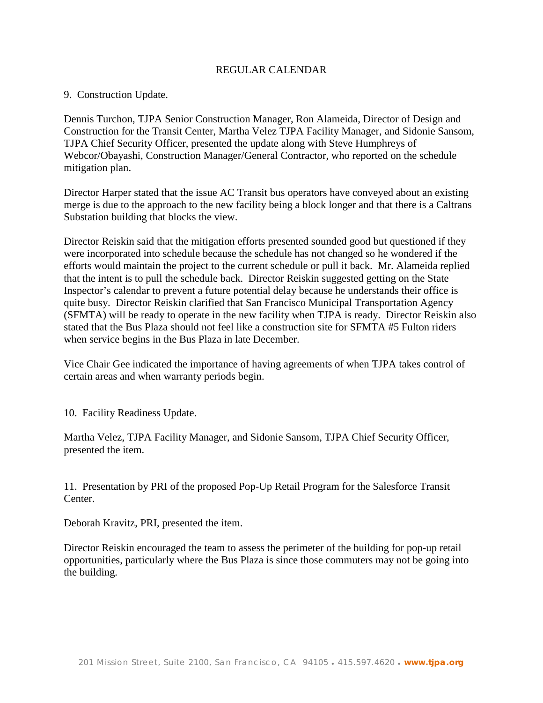## REGULAR CALENDAR

#### 9. Construction Update.

Dennis Turchon, TJPA Senior Construction Manager, Ron Alameida, Director of Design and Construction for the Transit Center, Martha Velez TJPA Facility Manager, and Sidonie Sansom, TJPA Chief Security Officer, presented the update along with Steve Humphreys of Webcor/Obayashi, Construction Manager/General Contractor, who reported on the schedule mitigation plan.

Director Harper stated that the issue AC Transit bus operators have conveyed about an existing merge is due to the approach to the new facility being a block longer and that there is a Caltrans Substation building that blocks the view.

Director Reiskin said that the mitigation efforts presented sounded good but questioned if they were incorporated into schedule because the schedule has not changed so he wondered if the efforts would maintain the project to the current schedule or pull it back. Mr. Alameida replied that the intent is to pull the schedule back. Director Reiskin suggested getting on the State Inspector's calendar to prevent a future potential delay because he understands their office is quite busy. Director Reiskin clarified that San Francisco Municipal Transportation Agency (SFMTA) will be ready to operate in the new facility when TJPA is ready. Director Reiskin also stated that the Bus Plaza should not feel like a construction site for SFMTA #5 Fulton riders when service begins in the Bus Plaza in late December.

Vice Chair Gee indicated the importance of having agreements of when TJPA takes control of certain areas and when warranty periods begin.

10. Facility Readiness Update.

Martha Velez, TJPA Facility Manager, and Sidonie Sansom, TJPA Chief Security Officer, presented the item.

11. Presentation by PRI of the proposed Pop-Up Retail Program for the Salesforce Transit Center.

Deborah Kravitz, PRI, presented the item.

Director Reiskin encouraged the team to assess the perimeter of the building for pop-up retail opportunities, particularly where the Bus Plaza is since those commuters may not be going into the building.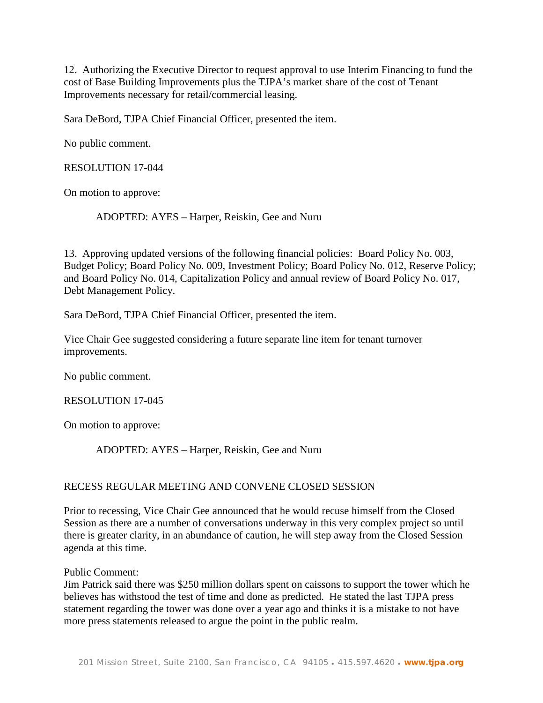12. Authorizing the Executive Director to request approval to use Interim Financing to fund the cost of Base Building Improvements plus the TJPA's market share of the cost of Tenant Improvements necessary for retail/commercial leasing.

Sara DeBord, TJPA Chief Financial Officer, presented the item.

No public comment.

RESOLUTION 17-044

On motion to approve:

ADOPTED: AYES – Harper, Reiskin, Gee and Nuru

13. Approving updated versions of the following financial policies: Board Policy No. 003, Budget Policy; Board Policy No. 009, Investment Policy; Board Policy No. 012, Reserve Policy; and Board Policy No. 014, Capitalization Policy and annual review of Board Policy No. 017, Debt Management Policy.

Sara DeBord, TJPA Chief Financial Officer, presented the item.

Vice Chair Gee suggested considering a future separate line item for tenant turnover improvements.

No public comment.

RESOLUTION 17-045

On motion to approve:

ADOPTED: AYES – Harper, Reiskin, Gee and Nuru

## RECESS REGULAR MEETING AND CONVENE CLOSED SESSION

Prior to recessing, Vice Chair Gee announced that he would recuse himself from the Closed Session as there are a number of conversations underway in this very complex project so until there is greater clarity, in an abundance of caution, he will step away from the Closed Session agenda at this time.

Public Comment:

Jim Patrick said there was \$250 million dollars spent on caissons to support the tower which he believes has withstood the test of time and done as predicted. He stated the last TJPA press statement regarding the tower was done over a year ago and thinks it is a mistake to not have more press statements released to argue the point in the public realm.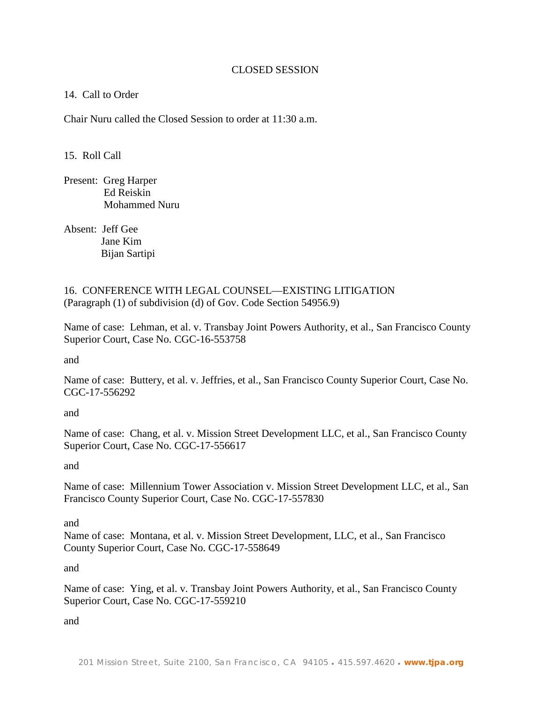## CLOSED SESSION

## 14. Call to Order

Chair Nuru called the Closed Session to order at 11:30 a.m.

15. Roll Call

Present: Greg Harper Ed Reiskin Mohammed Nuru

Absent: Jeff Gee Jane Kim Bijan Sartipi

16. CONFERENCE WITH LEGAL COUNSEL—EXISTING LITIGATION (Paragraph (1) of subdivision (d) of Gov. Code Section 54956.9)

Name of case: Lehman, et al. v. Transbay Joint Powers Authority, et al., San Francisco County Superior Court, Case No. CGC-16-553758

and

Name of case: Buttery, et al. v. Jeffries, et al., San Francisco County Superior Court, Case No. CGC-17-556292

and

Name of case: Chang, et al. v. Mission Street Development LLC, et al., San Francisco County Superior Court, Case No. CGC-17-556617

and

Name of case: Millennium Tower Association v. Mission Street Development LLC, et al., San Francisco County Superior Court, Case No. CGC-17-557830

and

Name of case: Montana, et al. v. Mission Street Development, LLC, et al., San Francisco County Superior Court, Case No. CGC-17-558649

and

Name of case: Ying, et al. v. Transbay Joint Powers Authority, et al., San Francisco County Superior Court, Case No. CGC-17-559210

and